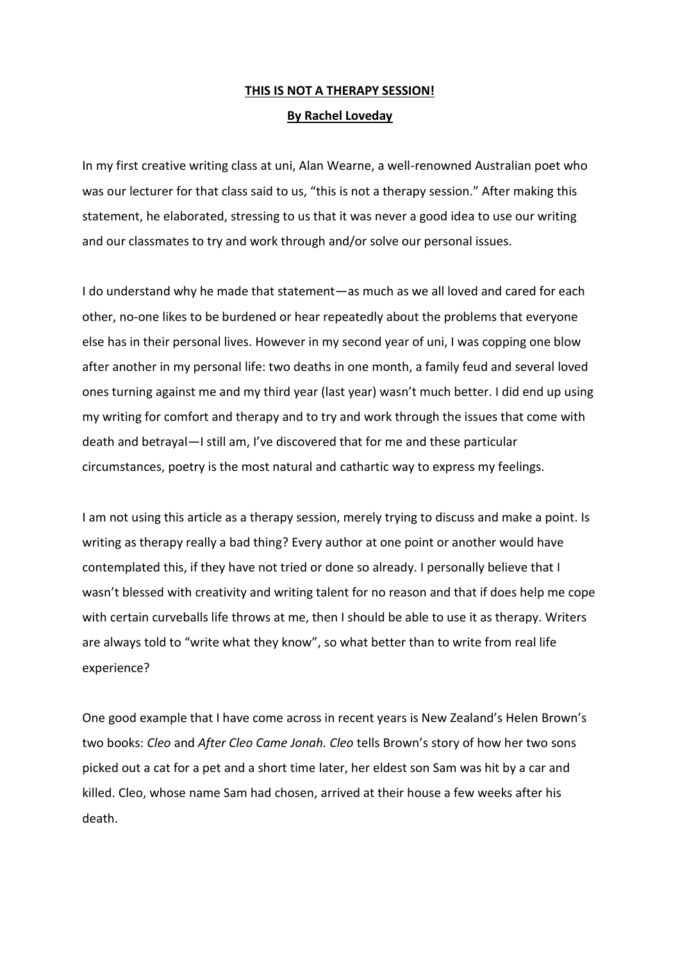## **THIS IS NOT A THERAPY SESSION! By Rachel Loveday**

In my first creative writing class at uni, Alan Wearne, a well-renowned Australian poet who was our lecturer for that class said to us, "this is not a therapy session." After making this statement, he elaborated, stressing to us that it was never a good idea to use our writing and our classmates to try and work through and/or solve our personal issues.

I do understand why he made that statement—as much as we all loved and cared for each other, no-one likes to be burdened or hear repeatedly about the problems that everyone else has in their personal lives. However in my second year of uni, I was copping one blow after another in my personal life: two deaths in one month, a family feud and several loved ones turning against me and my third year (last year) wasn't much better. I did end up using my writing for comfort and therapy and to try and work through the issues that come with death and betrayal—I still am, I've discovered that for me and these particular circumstances, poetry is the most natural and cathartic way to express my feelings.

I am not using this article as a therapy session, merely trying to discuss and make a point. Is writing as therapy really a bad thing? Every author at one point or another would have contemplated this, if they have not tried or done so already. I personally believe that I wasn't blessed with creativity and writing talent for no reason and that if does help me cope with certain curveballs life throws at me, then I should be able to use it as therapy. Writers are always told to "write what they know", so what better than to write from real life experience?

One good example that I have come across in recent years is New Zealand's Helen Brown's two books: *Cleo* and *After Cleo Came Jonah. Cleo* tells Brown's story of how her two sons picked out a cat for a pet and a short time later, her eldest son Sam was hit by a car and killed. Cleo, whose name Sam had chosen, arrived at their house a few weeks after his death.